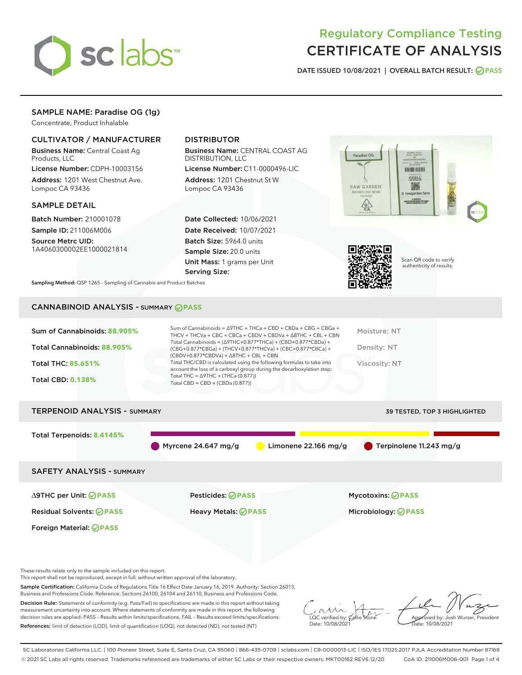

# Regulatory Compliance Testing CERTIFICATE OF ANALYSIS

DATE ISSUED 10/08/2021 | OVERALL BATCH RESULT: @ PASS

## SAMPLE NAME: Paradise OG (1g)

Concentrate, Product Inhalable

## CULTIVATOR / MANUFACTURER

Business Name: Central Coast Ag Products, LLC

License Number: CDPH-10003156 Address: 1201 West Chestnut Ave. Lompoc CA 93436

## SAMPLE DETAIL

Batch Number: 210001078 Sample ID: 211006M006 Source Metrc UID:

1A4060300002EE1000021814

## DISTRIBUTOR

Business Name: CENTRAL COAST AG DISTRIBUTION, LLC

License Number: C11-0000496-LIC Address: 1201 Chestnut St W Lompoc CA 93436

Date Collected: 10/06/2021 Date Received: 10/07/2021 Batch Size: 5964.0 units Sample Size: 20.0 units Unit Mass: 1 grams per Unit Serving Size:





Scan QR code to verify authenticity of results.

Sampling Method: QSP 1265 - Sampling of Cannabis and Product Batches

## CANNABINOID ANALYSIS - SUMMARY **PASS**

| Sum of Cannabinoids: 88.905%<br>Total Cannabinoids: 88.905%<br>Total THC: 85.651%<br><b>Total CBD: 0.138%</b> | Sum of Cannabinoids = $\triangle$ 9THC + THCa + CBD + CBDa + CBG + CBGa +<br>THCV + THCVa + CBC + CBCa + CBDV + CBDVa + $\Delta$ 8THC + CBL + CBN<br>Total Cannabinoids = $(\Delta$ 9THC+0.877*THCa) + (CBD+0.877*CBDa) +<br>(CBG+0.877*CBGa) + (THCV+0.877*THCVa) + (CBC+0.877*CBCa) +<br>$(CBDV+0.877*CBDVa) + \Delta 8THC + CBL + CBN$<br>Total THC/CBD is calculated using the following formulas to take into<br>account the loss of a carboxyl group during the decarboxylation step:<br>Total THC = $\triangle$ 9THC + (THCa (0.877))<br>Total CBD = $CBD + (CBDa (0.877))$ | Moisture: NT<br>Density: NT<br>Viscosity: NT           |
|---------------------------------------------------------------------------------------------------------------|------------------------------------------------------------------------------------------------------------------------------------------------------------------------------------------------------------------------------------------------------------------------------------------------------------------------------------------------------------------------------------------------------------------------------------------------------------------------------------------------------------------------------------------------------------------------------------|--------------------------------------------------------|
| <b>TERPENOID ANALYSIS - SUMMARY</b>                                                                           |                                                                                                                                                                                                                                                                                                                                                                                                                                                                                                                                                                                    | <b>39 TESTED, TOP 3 HIGHLIGHTED</b>                    |
| Total Terpenoids: 8.4145%                                                                                     | Myrcene $24.647$ mg/g<br>Limonene $22.166$ mg/g                                                                                                                                                                                                                                                                                                                                                                                                                                                                                                                                    | Terpinolene 11.243 mg/g                                |
| <b>SAFETY ANALYSIS - SUMMARY</b>                                                                              |                                                                                                                                                                                                                                                                                                                                                                                                                                                                                                                                                                                    |                                                        |
| $\triangle$ 9THC per Unit: $\oslash$ PASS<br><b>Residual Solvents: ⊘PASS</b>                                  | Pesticides: <b>⊘</b> PASS<br><b>Heavy Metals: ⊘PASS</b>                                                                                                                                                                                                                                                                                                                                                                                                                                                                                                                            | <b>Mycotoxins: ⊘PASS</b><br>Microbiology: <b>OPASS</b> |

These results relate only to the sample included on this report.

Foreign Material: **PASS**

This report shall not be reproduced, except in full, without written approval of the laboratory.

Sample Certification: California Code of Regulations Title 16 Effect Date January 16, 2019. Authority: Section 26013, Business and Professions Code. Reference: Sections 26100, 26104 and 26110, Business and Professions Code.

Decision Rule: Statements of conformity (e.g. Pass/Fail) to specifications are made in this report without taking measurement uncertainty into account. Where statements of conformity are made in this report, the following decision rules are applied: PASS – Results within limits/specifications, FAIL – Results exceed limits/specifications. References: limit of detection (LOD), limit of quantification (LOQ), not detected (ND), not tested (NT)

 $\sim$  CC verified by:  $\mathcal{C}$ Date: 10/08/2021

Approved by: Josh Wurzer, President Date: 10/08/2021

SC Laboratories California LLC. | 100 Pioneer Street, Suite E, Santa Cruz, CA 95060 | 866-435-0709 | sclabs.com | C8-0000013-LIC | ISO/IES 17025:2017 PJLA Accreditation Number 87168 © 2021 SC Labs all rights reserved. Trademarks referenced are trademarks of either SC Labs or their respective owners. MKT00162 REV6 12/20 CoA ID: 211006M006-001 Page 1 of 4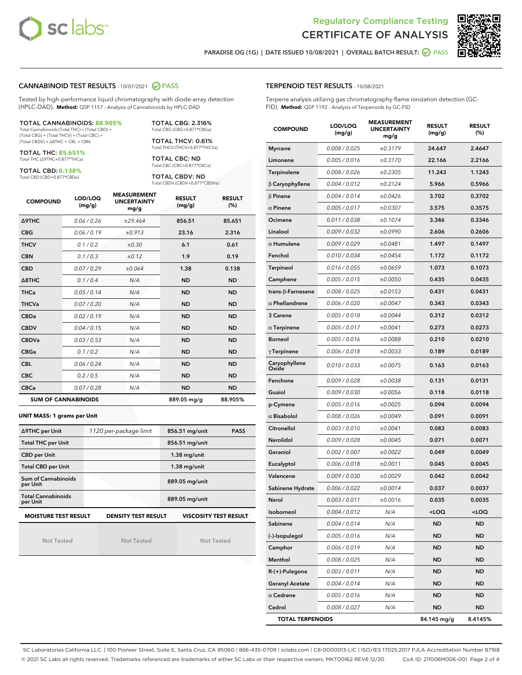



PARADISE OG (1G) | DATE ISSUED 10/08/2021 | OVERALL BATCH RESULT:  $\bigcirc$  PASS

#### CANNABINOID TEST RESULTS - 10/07/2021 2 PASS

Tested by high-performance liquid chromatography with diode-array detection (HPLC-DAD). **Method:** QSP 1157 - Analysis of Cannabinoids by HPLC-DAD

#### TOTAL CANNABINOIDS: **88.905%**

Total Cannabinoids (Total THC) + (Total CBD) + (Total CBG) + (Total THCV) + (Total CBC) + (Total CBDV) + ∆8THC + CBL + CBN

TOTAL THC: **85.651%** Total THC (∆9THC+0.877\*THCa)

TOTAL CBD: **0.138%**

Total CBD (CBD+0.877\*CBDa)

TOTAL CBG: 2.316% Total CBG (CBG+0.877\*CBGa)

TOTAL THCV: 0.61% Total THCV (THCV+0.877\*THCVa)

TOTAL CBC: ND Total CBC (CBC+0.877\*CBCa)

TOTAL CBDV: ND Total CBDV (CBDV+0.877\*CBDVa)

| <b>COMPOUND</b>  | LOD/LOQ<br>(mg/g)          | <b>MEASUREMENT</b><br><b>UNCERTAINTY</b><br>mg/g | <b>RESULT</b><br>(mg/g) | <b>RESULT</b><br>(%) |
|------------------|----------------------------|--------------------------------------------------|-------------------------|----------------------|
| <b>A9THC</b>     | 0.06 / 0.26                | ±29.464                                          | 856.51                  | 85.651               |
| <b>CBG</b>       | 0.06/0.19                  | ±0.913                                           | 23.16                   | 2.316                |
| <b>THCV</b>      | 0.1/0.2                    | ±0.30                                            | 6.1                     | 0.61                 |
| <b>CBN</b>       | 0.1/0.3                    | ±0.12                                            | 1.9                     | 0.19                 |
| <b>CBD</b>       | 0.07/0.29                  | ±0.064                                           | 1.38                    | 0.138                |
| $\triangle$ 8THC | 0.1 / 0.4                  | N/A                                              | <b>ND</b>               | <b>ND</b>            |
| <b>THCa</b>      | 0.05/0.14                  | N/A                                              | <b>ND</b>               | <b>ND</b>            |
| <b>THCVa</b>     | 0.07/0.20                  | N/A                                              | <b>ND</b>               | <b>ND</b>            |
| <b>CBDa</b>      | 0.02 / 0.19                | N/A                                              | <b>ND</b>               | <b>ND</b>            |
| <b>CBDV</b>      | 0.04 / 0.15                | N/A                                              | <b>ND</b>               | <b>ND</b>            |
| <b>CBDVa</b>     | 0.03/0.53                  | N/A                                              | <b>ND</b>               | <b>ND</b>            |
| <b>CBGa</b>      | 0.1 / 0.2                  | N/A                                              | <b>ND</b>               | <b>ND</b>            |
| <b>CBL</b>       | 0.06 / 0.24                | N/A                                              | <b>ND</b>               | <b>ND</b>            |
| <b>CBC</b>       | 0.2 / 0.5                  | N/A                                              | <b>ND</b>               | <b>ND</b>            |
| <b>CBCa</b>      | 0.07/0.28                  | N/A                                              | <b>ND</b>               | <b>ND</b>            |
|                  | <b>SUM OF CANNABINOIDS</b> |                                                  | 889.05 mg/g             | 88.905%              |

**UNIT MASS: 1 grams per Unit**

| ∆9THC per Unit                        | 1120 per-package limit     | 856.51 mg/unit<br><b>PASS</b> |
|---------------------------------------|----------------------------|-------------------------------|
| <b>Total THC per Unit</b>             |                            | 856.51 mg/unit                |
| <b>CBD per Unit</b>                   |                            | $1.38$ mg/unit                |
| <b>Total CBD per Unit</b>             |                            | $1.38$ mg/unit                |
| Sum of Cannabinoids<br>per Unit       |                            | 889.05 mg/unit                |
| <b>Total Cannabinoids</b><br>per Unit |                            | 889.05 mg/unit                |
| <b>MOISTURE TEST RESULT</b>           | <b>DENSITY TEST RESULT</b> | <b>VISCOSITY TEST RESULT</b>  |

Not Tested

Not Tested

Not Tested

## TERPENOID TEST RESULTS - 10/08/2021

Terpene analysis utilizing gas chromatography-flame ionization detection (GC-FID). **Method:** QSP 1192 - Analysis of Terpenoids by GC-FID

| <b>COMPOUND</b>           | LOD/LOQ<br>(mg/g) | <b>MEASUREMENT</b><br><b>UNCERTAINTY</b><br>mg/g | <b>RESULT</b><br>(mg/g)                         | <b>RESULT</b><br>$(\%)$ |
|---------------------------|-------------------|--------------------------------------------------|-------------------------------------------------|-------------------------|
| <b>Myrcene</b>            | 0.008 / 0.025     | ±0.3179                                          | 24.647                                          | 2.4647                  |
| Limonene                  | 0.005 / 0.016     | ±0.3170                                          | 22.166                                          | 2.2166                  |
| Terpinolene               | 0.008 / 0.026     | ±0.2305                                          | 11.243                                          | 1.1243                  |
| $\beta$ Caryophyllene     | 0.004 / 0.012     | ±0.2124                                          | 5.966                                           | 0.5966                  |
| $\beta$ Pinene            | 0.004 / 0.014     | ±0.0426                                          | 3.702                                           | 0.3702                  |
| $\alpha$ Pinene           | 0.005 / 0.017     | ±0.0307                                          | 3.575                                           | 0.3575                  |
| Ocimene                   | 0.011 / 0.038     | ±0.1074                                          | 3.346                                           | 0.3346                  |
| Linalool                  | 0.009 / 0.032     | ±0.0990                                          | 2.606                                           | 0.2606                  |
| $\alpha$ Humulene         | 0.009 / 0.029     | ±0.0481                                          | 1.497                                           | 0.1497                  |
| Fenchol                   | 0.010 / 0.034     | ±0.0454                                          | 1.172                                           | 0.1172                  |
| <b>Terpineol</b>          | 0.016 / 0.055     | ±0.0659                                          | 1.073                                           | 0.1073                  |
| Camphene                  | 0.005 / 0.015     | ±0.0050                                          | 0.435                                           | 0.0435                  |
| trans- $\beta$ -Farnesene | 0.008 / 0.025     | ±0.0153                                          | 0.431                                           | 0.0431                  |
| $\alpha$ Phellandrene     | 0.006 / 0.020     | ±0.0047                                          | 0.343                                           | 0.0343                  |
| 3 Carene                  | 0.005 / 0.018     | ±0.0044                                          | 0.312                                           | 0.0312                  |
| $\alpha$ Terpinene        | 0.005 / 0.017     | ±0.0041                                          | 0.273                                           | 0.0273                  |
| <b>Borneol</b>            | 0.005 / 0.016     | ±0.0088                                          | 0.210                                           | 0.0210                  |
| $\gamma$ Terpinene        | 0.006 / 0.018     | ±0.0033                                          | 0.189                                           | 0.0189                  |
| Caryophyllene<br>Oxide    | 0.010 / 0.033     | ±0.0075                                          | 0.163                                           | 0.0163                  |
| Fenchone                  | 0.009 / 0.028     | ±0.0038                                          | 0.131                                           | 0.0131                  |
| Guaiol                    | 0.009 / 0.030     | ±0.0056                                          | 0.118                                           | 0.0118                  |
| p-Cymene                  | 0.005 / 0.016     | ±0.0025                                          | 0.094                                           | 0.0094                  |
| $\alpha$ Bisabolol        | 0.008 / 0.026     | ±0.0049                                          | 0.091                                           | 0.0091                  |
| Citronellol               | 0.003 / 0.010     | ±0.0041                                          | 0.083                                           | 0.0083                  |
| Nerolidol                 | 0.009 / 0.028     | ±0.0045                                          | 0.071                                           | 0.0071                  |
| Geraniol                  | 0.002 / 0.007     | ±0.0022                                          | 0.049                                           | 0.0049                  |
| Eucalyptol                | 0.006 / 0.018     | ±0.0011                                          | 0.045                                           | 0.0045                  |
| Valencene                 | 0.009 / 0.030     | ±0.0029                                          | 0.042                                           | 0.0042                  |
| Sabinene Hydrate          | 0.006 / 0.022     | ±0.0014                                          | 0.037                                           | 0.0037                  |
| Nerol                     | 0.003 / 0.011     | ±0.0016                                          | 0.035                                           | 0.0035                  |
| Isoborneol                | 0.004 / 0.012     | N/A                                              | <loq< th=""><th><loq< th=""></loq<></th></loq<> | <loq< th=""></loq<>     |
| Sabinene                  | 0.004 / 0.014     | N/A                                              | ND                                              | ND                      |
| (-)-Isopulegol            | 0.005 / 0.016     | N/A                                              | ND                                              | ND                      |
| Camphor                   | 0.006 / 0.019     | N/A                                              | ND                                              | ND                      |
| Menthol                   | 0.008 / 0.025     | N/A                                              | ND                                              | ND                      |
| R-(+)-Pulegone            | 0.003 / 0.011     | N/A                                              | ND                                              | ND                      |
| <b>Geranyl Acetate</b>    | 0.004 / 0.014     | N/A                                              | ND                                              | ND                      |
| $\alpha$ Cedrene          | 0.005 / 0.016     | N/A                                              | ND                                              | ND                      |
| Cedrol                    | 0.008 / 0.027     | N/A                                              | ND                                              | <b>ND</b>               |
| <b>TOTAL TERPENOIDS</b>   |                   |                                                  | 84.145 mg/g                                     | 8.4145%                 |

SC Laboratories California LLC. | 100 Pioneer Street, Suite E, Santa Cruz, CA 95060 | 866-435-0709 | sclabs.com | C8-0000013-LIC | ISO/IES 17025:2017 PJLA Accreditation Number 87168 © 2021 SC Labs all rights reserved. Trademarks referenced are trademarks of either SC Labs or their respective owners. MKT00162 REV6 12/20 CoA ID: 211006M006-001 Page 2 of 4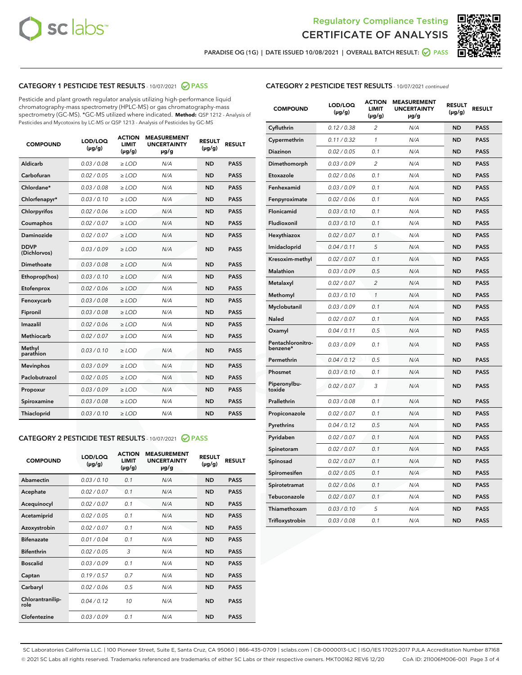



PARADISE OG (1G) | DATE ISSUED 10/08/2021 | OVERALL BATCH RESULT:  $\bigcirc$  PASS

## CATEGORY 1 PESTICIDE TEST RESULTS - 10/07/2021 2 PASS

Pesticide and plant growth regulator analysis utilizing high-performance liquid chromatography-mass spectrometry (HPLC-MS) or gas chromatography-mass spectrometry (GC-MS). \*GC-MS utilized where indicated. **Method:** QSP 1212 - Analysis of Pesticides and Mycotoxins by LC-MS or QSP 1213 - Analysis of Pesticides by GC-MS

| <b>COMPOUND</b>             | LOD/LOQ<br>$(\mu g/g)$ | <b>ACTION</b><br><b>LIMIT</b><br>$(\mu g/g)$ | <b>MEASUREMENT</b><br><b>UNCERTAINTY</b><br>$\mu$ g/g | <b>RESULT</b><br>$(\mu g/g)$ | <b>RESULT</b> |
|-----------------------------|------------------------|----------------------------------------------|-------------------------------------------------------|------------------------------|---------------|
| Aldicarb                    | 0.03 / 0.08            | $\geq$ LOD                                   | N/A                                                   | <b>ND</b>                    | <b>PASS</b>   |
| Carbofuran                  | 0.02/0.05              | $>$ LOD                                      | N/A                                                   | <b>ND</b>                    | <b>PASS</b>   |
| Chlordane*                  | 0.03 / 0.08            | $\ge$ LOD                                    | N/A                                                   | <b>ND</b>                    | <b>PASS</b>   |
| Chlorfenapyr*               | 0.03/0.10              | $>$ LOD                                      | N/A                                                   | <b>ND</b>                    | <b>PASS</b>   |
| Chlorpyrifos                | 0.02 / 0.06            | $\ge$ LOD                                    | N/A                                                   | <b>ND</b>                    | <b>PASS</b>   |
| Coumaphos                   | 0.02 / 0.07            | $\ge$ LOD                                    | N/A                                                   | <b>ND</b>                    | <b>PASS</b>   |
| Daminozide                  | 0.02 / 0.07            | $\ge$ LOD                                    | N/A                                                   | <b>ND</b>                    | <b>PASS</b>   |
| <b>DDVP</b><br>(Dichlorvos) | 0.03/0.09              | $\ge$ LOD                                    | N/A                                                   | <b>ND</b>                    | <b>PASS</b>   |
| Dimethoate                  | 0.03/0.08              | $>$ LOD                                      | N/A                                                   | <b>ND</b>                    | <b>PASS</b>   |
| Ethoprop(hos)               | 0.03/0.10              | $\ge$ LOD                                    | N/A                                                   | <b>ND</b>                    | <b>PASS</b>   |
| Etofenprox                  | 0.02 / 0.06            | $\ge$ LOD                                    | N/A                                                   | <b>ND</b>                    | <b>PASS</b>   |
| Fenoxycarb                  | 0.03/0.08              | $\ge$ LOD                                    | N/A                                                   | <b>ND</b>                    | <b>PASS</b>   |
| Fipronil                    | 0.03/0.08              | $>$ LOD                                      | N/A                                                   | <b>ND</b>                    | <b>PASS</b>   |
| Imazalil                    | 0.02 / 0.06            | $\ge$ LOD                                    | N/A                                                   | <b>ND</b>                    | <b>PASS</b>   |
| <b>Methiocarb</b>           | 0.02 / 0.07            | $\ge$ LOD                                    | N/A                                                   | <b>ND</b>                    | <b>PASS</b>   |
| Methyl<br>parathion         | 0.03/0.10              | $\ge$ LOD                                    | N/A                                                   | <b>ND</b>                    | <b>PASS</b>   |
| <b>Mevinphos</b>            | 0.03/0.09              | $>$ LOD                                      | N/A                                                   | <b>ND</b>                    | <b>PASS</b>   |
| Paclobutrazol               | 0.02 / 0.05            | $\ge$ LOD                                    | N/A                                                   | <b>ND</b>                    | <b>PASS</b>   |
| Propoxur                    | 0.03/0.09              | $\ge$ LOD                                    | N/A                                                   | <b>ND</b>                    | <b>PASS</b>   |
| Spiroxamine                 | 0.03 / 0.08            | $\ge$ LOD                                    | N/A                                                   | <b>ND</b>                    | <b>PASS</b>   |
| Thiacloprid                 | 0.03/0.10              | $\ge$ LOD                                    | N/A                                                   | <b>ND</b>                    | <b>PASS</b>   |

## CATEGORY 2 PESTICIDE TEST RESULTS - 10/07/2021 @ PASS

| <b>COMPOUND</b>          | LOD/LOQ<br>$(\mu g/g)$ | <b>ACTION</b><br><b>LIMIT</b><br>$(\mu g/g)$ | <b>MEASUREMENT</b><br><b>UNCERTAINTY</b><br>$\mu$ g/g | <b>RESULT</b><br>$(\mu g/g)$ | <b>RESULT</b> |
|--------------------------|------------------------|----------------------------------------------|-------------------------------------------------------|------------------------------|---------------|
| Abamectin                | 0.03/0.10              | 0.1                                          | N/A                                                   | <b>ND</b>                    | <b>PASS</b>   |
| Acephate                 | 0.02/0.07              | 0.1                                          | N/A                                                   | <b>ND</b>                    | <b>PASS</b>   |
| Acequinocyl              | 0.02/0.07              | 0.1                                          | N/A                                                   | <b>ND</b>                    | <b>PASS</b>   |
| Acetamiprid              | 0.02/0.05              | 0.1                                          | N/A                                                   | <b>ND</b>                    | <b>PASS</b>   |
| Azoxystrobin             | 0.02/0.07              | 0.1                                          | N/A                                                   | <b>ND</b>                    | <b>PASS</b>   |
| <b>Bifenazate</b>        | 0.01/0.04              | 0.1                                          | N/A                                                   | <b>ND</b>                    | <b>PASS</b>   |
| <b>Bifenthrin</b>        | 0.02 / 0.05            | 3                                            | N/A                                                   | <b>ND</b>                    | <b>PASS</b>   |
| <b>Boscalid</b>          | 0.03/0.09              | 0.1                                          | N/A                                                   | <b>ND</b>                    | <b>PASS</b>   |
| Captan                   | 0.19/0.57              | 0.7                                          | N/A                                                   | <b>ND</b>                    | <b>PASS</b>   |
| Carbaryl                 | 0.02/0.06              | 0.5                                          | N/A                                                   | <b>ND</b>                    | <b>PASS</b>   |
| Chlorantranilip-<br>role | 0.04/0.12              | 10                                           | N/A                                                   | <b>ND</b>                    | <b>PASS</b>   |
| Clofentezine             | 0.03/0.09              | 0.1                                          | N/A                                                   | <b>ND</b>                    | <b>PASS</b>   |

## CATEGORY 2 PESTICIDE TEST RESULTS - 10/07/2021 continued

| <b>COMPOUND</b>               | LOD/LOQ<br>(µg/g) | <b>ACTION</b><br><b>LIMIT</b><br>$(\mu g/g)$ | <b>MEASUREMENT</b><br><b>UNCERTAINTY</b><br>µg/g | <b>RESULT</b><br>$(\mu g/g)$ | <b>RESULT</b> |
|-------------------------------|-------------------|----------------------------------------------|--------------------------------------------------|------------------------------|---------------|
| Cyfluthrin                    | 0.12 / 0.38       | $\overline{\mathcal{L}}$                     | N/A                                              | <b>ND</b>                    | <b>PASS</b>   |
| Cypermethrin                  | 0.11 / 0.32       | 1                                            | N/A                                              | <b>ND</b>                    | <b>PASS</b>   |
| <b>Diazinon</b>               | 0.02 / 0.05       | 0.1                                          | N/A                                              | <b>ND</b>                    | <b>PASS</b>   |
| Dimethomorph                  | 0.03 / 0.09       | 2                                            | N/A                                              | <b>ND</b>                    | <b>PASS</b>   |
| Etoxazole                     | 0.02 / 0.06       | 0.1                                          | N/A                                              | <b>ND</b>                    | <b>PASS</b>   |
| Fenhexamid                    | 0.03 / 0.09       | 0.1                                          | N/A                                              | <b>ND</b>                    | <b>PASS</b>   |
| Fenpyroximate                 | 0.02 / 0.06       | 0.1                                          | N/A                                              | <b>ND</b>                    | <b>PASS</b>   |
| Flonicamid                    | 0.03 / 0.10       | 0.1                                          | N/A                                              | <b>ND</b>                    | <b>PASS</b>   |
| Fludioxonil                   | 0.03 / 0.10       | 0.1                                          | N/A                                              | <b>ND</b>                    | <b>PASS</b>   |
| Hexythiazox                   | 0.02 / 0.07       | 0.1                                          | N/A                                              | <b>ND</b>                    | <b>PASS</b>   |
| Imidacloprid                  | 0.04 / 0.11       | 5                                            | N/A                                              | <b>ND</b>                    | <b>PASS</b>   |
| Kresoxim-methyl               | 0.02 / 0.07       | 0.1                                          | N/A                                              | <b>ND</b>                    | <b>PASS</b>   |
| Malathion                     | 0.03 / 0.09       | 0.5                                          | N/A                                              | <b>ND</b>                    | <b>PASS</b>   |
| Metalaxyl                     | 0.02 / 0.07       | $\overline{c}$                               | N/A                                              | <b>ND</b>                    | <b>PASS</b>   |
| Methomyl                      | 0.03 / 0.10       | $\mathbf{1}$                                 | N/A                                              | <b>ND</b>                    | <b>PASS</b>   |
| Myclobutanil                  | 0.03 / 0.09       | 0.1                                          | N/A                                              | <b>ND</b>                    | <b>PASS</b>   |
| Naled                         | 0.02 / 0.07       | 0.1                                          | N/A                                              | <b>ND</b>                    | <b>PASS</b>   |
| Oxamyl                        | 0.04 / 0.11       | 0.5                                          | N/A                                              | <b>ND</b>                    | <b>PASS</b>   |
| Pentachloronitro-<br>benzene* | 0.03 / 0.09       | 0.1                                          | N/A                                              | <b>ND</b>                    | <b>PASS</b>   |
| Permethrin                    | 0.04 / 0.12       | 0.5                                          | N/A                                              | <b>ND</b>                    | <b>PASS</b>   |
| Phosmet                       | 0.03 / 0.10       | 0.1                                          | N/A                                              | <b>ND</b>                    | <b>PASS</b>   |
| Piperonylbu-<br>toxide        | 0.02 / 0.07       | 3                                            | N/A                                              | <b>ND</b>                    | <b>PASS</b>   |
| Prallethrin                   | 0.03 / 0.08       | 0.1                                          | N/A                                              | <b>ND</b>                    | <b>PASS</b>   |
| Propiconazole                 | 0.02 / 0.07       | 0.1                                          | N/A                                              | <b>ND</b>                    | <b>PASS</b>   |
| Pyrethrins                    | 0.04 / 0.12       | 0.5                                          | N/A                                              | <b>ND</b>                    | <b>PASS</b>   |
| Pyridaben                     | 0.02 / 0.07       | 0.1                                          | N/A                                              | <b>ND</b>                    | <b>PASS</b>   |
| Spinetoram                    | 0.02 / 0.07       | 0.1                                          | N/A                                              | <b>ND</b>                    | <b>PASS</b>   |
| Spinosad                      | 0.02 / 0.07       | 0.1                                          | N/A                                              | <b>ND</b>                    | <b>PASS</b>   |
| Spiromesifen                  | 0.02 / 0.05       | 0.1                                          | N/A                                              | <b>ND</b>                    | <b>PASS</b>   |
| Spirotetramat                 | 0.02 / 0.06       | 0.1                                          | N/A                                              | <b>ND</b>                    | <b>PASS</b>   |
| Tebuconazole                  | 0.02 / 0.07       | 0.1                                          | N/A                                              | <b>ND</b>                    | <b>PASS</b>   |
| Thiamethoxam                  | 0.03 / 0.10       | 5                                            | N/A                                              | <b>ND</b>                    | <b>PASS</b>   |
| Trifloxystrobin               | 0.03 / 0.08       | 0.1                                          | N/A                                              | <b>ND</b>                    | <b>PASS</b>   |

SC Laboratories California LLC. | 100 Pioneer Street, Suite E, Santa Cruz, CA 95060 | 866-435-0709 | sclabs.com | C8-0000013-LIC | ISO/IES 17025:2017 PJLA Accreditation Number 87168 © 2021 SC Labs all rights reserved. Trademarks referenced are trademarks of either SC Labs or their respective owners. MKT00162 REV6 12/20 CoA ID: 211006M006-001 Page 3 of 4